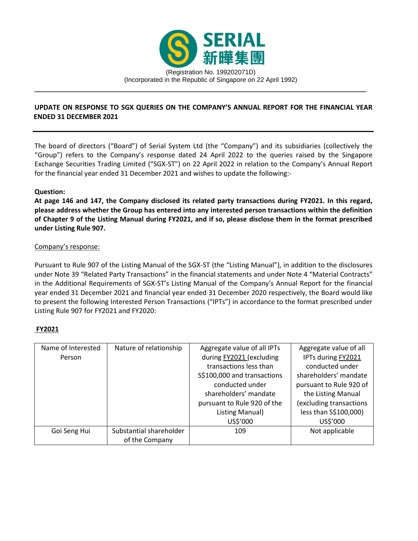

## **UPDATE ON RESPONSE TO SGX QUERIES ON THE COMPANY'S ANNUAL REPORT FOR THE FINANCIAL YEAR ENDED 31 DECEMBER 2021**

The board of directors ("Board") of Serial System Ltd (the "Company") and its subsidiaries (collectively the "Group") refers to the Company's response dated 24 April 2022 to the queries raised by the Singapore Exchange Securities Trading Limited ("SGX-ST") on 22 April 2022 in relation to the Company's Annual Report for the financial year ended 31 December 2021 and wishes to update the following:-

## **Question:**

**At page 146 and 147, the Company disclosed its related party transactions during FY2021. In this regard, please address whether the Group has entered into any interested person transactions within the definition of Chapter 9 of the Listing Manual during FY2021, and if so, please disclose them in the format prescribed under Listing Rule 907.** 

## Company's response:

Pursuant to Rule 907 of the Listing Manual of the SGX-ST (the "Listing Manual"), in addition to the disclosures under Note 39 "Related Party Transactions" in the financial statements and under Note 4 "Material Contracts" in the Additional Requirements of SGX-ST's Listing Manual of the Company's Annual Report for the financial year ended 31 December 2021 and financial year ended 31 December 2020 respectively, the Board would like to present the following Interested Person Transactions ("IPTs") in accordance to the format prescribed under Listing Rule 907 for FY2021 and FY2020:

# **FY2021**

| Name of Interested | Nature of relationship                    | Aggregate value of all IPTs                                                                                                                                  | Aggregate value of all                                                                                                                     |
|--------------------|-------------------------------------------|--------------------------------------------------------------------------------------------------------------------------------------------------------------|--------------------------------------------------------------------------------------------------------------------------------------------|
| Person             |                                           | during FY2021 (excluding<br>transactions less than<br>S\$100,000 and transactions<br>conducted under<br>shareholders' mandate<br>pursuant to Rule 920 of the | IPTs during FY2021<br>conducted under<br>shareholders' mandate<br>pursuant to Rule 920 of<br>the Listing Manual<br>(excluding transactions |
|                    |                                           | Listing Manual)                                                                                                                                              | less than S\$100,000)                                                                                                                      |
|                    |                                           | US\$'000                                                                                                                                                     | US\$'000                                                                                                                                   |
| Goi Seng Hui       | Substantial shareholder<br>of the Company | 109                                                                                                                                                          | Not applicable                                                                                                                             |